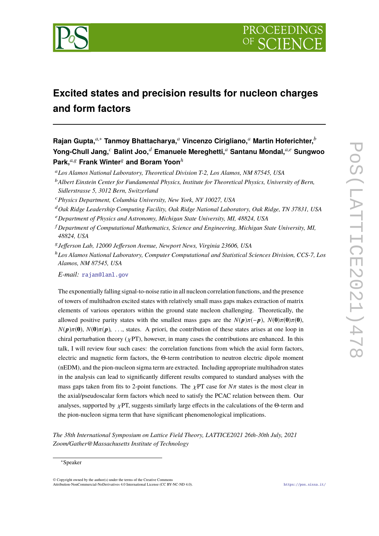

# **Excited states and precision results for nucleon charges and form factors**

**Rajan Gupta,***a*,<sup>∗</sup> **Tanmoy Bhattacharya,***<sup>a</sup>* **Vincenzo Cirigliano,***<sup>a</sup>* **Martin Hoferichter,***<sup>b</sup>* **Yong-Chull Jang,***<sup>c</sup>* **Balint Joo,***<sup>d</sup>* **Emanuele Mereghetti,***<sup>a</sup>* **Santanu Mondal,***a*,*<sup>e</sup>* **Sungwoo Park,***a*,<sup>g</sup> **Frank Winter**<sup>g</sup> **and Boram Yoon***<sup>h</sup>*

<sup>a</sup>*Los Alamos National Laboratory, Theoretical Division T-2, Los Alamos, NM 87545, USA*

<sup>b</sup>*Albert Einstein Center for Fundamental Physics, Institute for Theoretical Physics, University of Bern, Sidlerstrasse 5, 3012 Bern, Switzerland*

- <sup>c</sup>*Physics Department, Columbia University, New York, NY 10027, USA*
- <sup>d</sup>*Oak Ridge Leadership Computing Facility, Oak Ridge National Laboratory, Oak Ridge, TN 37831, USA*
- <sup>e</sup>*Department of Physics and Astronomy, Michigan State University, MI, 48824, USA*
- <sup>f</sup> *Department of Computational Mathematics, Science and Engineering, Michigan State University, MI, 48824, USA*
- g *Jefferson Lab, 12000 Jefferson Avenue, Newport News, Virginia 23606, USA*
- <sup>h</sup>*Los Alamos National Laboratory, Computer Computational and Statistical Sciences Division, CCS-7, Los Alamos, NM 87545, USA*

*E-mail:* [rajan@lanl.gov](mailto:rajan@lanl.gov)

The exponentially falling signal-to-noise ratio in all nucleon correlation functions, and the presence of towers of multihadron excited states with relatively small mass gaps makes extraction of matrix elements of various operators within the ground state nucleon challenging. Theoretically, the allowed positive parity states with the smallest mass gaps are the  $N(p)\pi(-p)$ ,  $N(0)\pi(0)\pi(0)$ ,  $N(p)\pi(0)$ ,  $N(0)\pi(p)$ , ..., states. A priori, the contribution of these states arises at one loop in chiral perturbation theory ( $\chi$ PT), however, in many cases the contributions are enhanced. In this talk, I will review four such cases: the correlation functions from which the axial form factors, electric and magnetic form factors, the Θ-term contribution to neutron electric dipole moment (nEDM), and the pion-nucleon sigma term are extracted. Including appropriate multihadron states in the analysis can lead to significantly different results compared to standard analyses with the mass gaps taken from fits to 2-point functions. The  $\chi PT$  case for  $N\pi$  states is the most clear in the axial/pseudoscalar form factors which need to satisfy the PCAC relation between them. Our analyses, supported by  $\chi$ PT, suggests similarly large effects in the calculations of the Θ-term and the pion-nucleon sigma term that have significant phenomenological implications.

*The 38th International Symposium on Lattice Field Theory, LATTICE2021 26th-30th July, 2021 Zoom/Gather@Massachusetts Institute of Technology*

© Copyright owned by the author(s) under the terms of the Creative Commons Attribution-NonCommercial-NoDerivatives 4.0 International License (CC BY-NC-ND 4.0). <https://pos.sissa.it/>

<sup>∗</sup>Speaker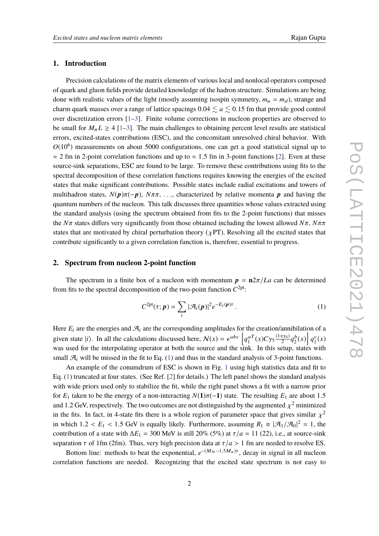# **1. Introduction**

Precision calculations of the matrix elements of various local and nonlocal operators composed of quark and gluon fields provide detailed knowledge of the hadron structure. Simulations are being done with realistic values of the light (mostly assuming isospin symmetry,  $m_u = m_d$ ), strange and charm quark masses over a range of lattice spacings  $0.04 \lesssim a \lesssim 0.15$  fm that provide good control over discretization errors [\[1–](#page-7-0)[3\]](#page-7-1). Finite volume corrections in nucleon properties are observed to be small for  $M_{\pi} L \geq 4$  [\[1–](#page-7-0)[3\]](#page-7-1). The main challenges to obtaining percent level results are statistical errors, excited-states contributions (ESC), and the concomitant unresolved chiral behavior. With  $O(10^6)$  measurements on about 5000 configurations, one can get a good statistical signal up to  $\approx$  2 fm in 2-point correlation functions and up to  $\approx$  1.5 fm in 3-point functions [\[2\]](#page-7-2). Even at these source-sink separations, ESC are found to be large. To remove these contributions using fits to the spectral decomposition of these correlation functions requires knowing the energies of the excited states that make significant contributions. Possible states include radial excitations and towers of multihadron states,  $N(p)\pi(-p)$ ,  $N\pi\pi$ , ..., characterized by relative momenta p and having the quantum numbers of the nucleon. This talk discusses three quantities whose values extracted using the standard analysis (using the spectrum obtained from fits to the 2-point functions) that misses the *<sup>N</sup>*π states differs very significantly from those obtained including the lowest allowed *<sup>N</sup>*π, *<sup>N</sup>*ππ states that are motivated by chiral perturbation theory ( $\chi PT$ ). Resolving all the excited states that contribute significantly to a given correlation function is, therefore, essential to progress.

# **2. Spectrum from nucleon 2-point function**

The spectrum in a finite box of a nucleon with momentum  $p = \frac{n2\pi}{La}$  can be determined from fits to the spectral decomposition of the two-point function  $C^{2pt}$ :

<span id="page-1-0"></span>
$$
C^{2pt}(\tau; \boldsymbol{p}) = \sum_{i} |\mathcal{A}_{i}(\boldsymbol{p})|^{2} e^{-E_{i}(\boldsymbol{p})\tau} . \qquad (1)
$$

Here  $E_i$  are the energies and  $\mathcal{A}_i$  are the corresponding amplitudes for the creation/annihilation of a given state  $|i\rangle$ . In all the calculations discussed here,  $\mathcal{N}(x) = \epsilon^{abc} \left[ q_1^{aT}(x) C \gamma_5 \frac{(1 \pm \gamma_4)}{2} q_2^b(x) \right] q_1^c(x)$ was used for the interpolating operator at both the source and the sink. In this setup, states with small  $\mathcal{A}_i$  will be missed in the fit to Eq. [\(1\)](#page-1-0) and thus in the standard analysis of 3-point functions.

An example of the conumdrum of ESC is shown in Fig. [1](#page-2-0) using high statistics data and fit to Eq. [\(1\)](#page-1-0) truncated at four states. (See Ref. [\[2\]](#page-7-2) for details.) The left panel shows the standard analysis with wide priors used only to stabilize the fit, while the right panel shows a fit with a narrow prior for  $E_1$  taken to be the energy of a non-interacting  $N(1)\pi(-1)$  state. The resulting  $E_1$  are about 1.5 and 1.2 GeV, respectively. The two outcomes are not distinguished by the augmented  $\chi^2$  minimized<br>in the fite. In fect, in 4 state fite there is a whole gozing of personate gross that gives similar  $\chi^2$ in the fits. In fact, in 4-state fits there is a whole region of parameter space that gives similar  $\chi^2$ <br>in which  $1.2 \le E \le 1.5$  GeV is aggelly likely. Furthermore, essenting  $P_1 = |\mathcal{R}| / |\mathcal{R}|^2 = 1$ , the in which  $1.2 < E_1 < 1.5$  GeV is equally likely. Furthermore, assuming  $R_1 \equiv |\mathcal{A}_1/\mathcal{A}_0|^2 = 1$ , the contribution of a state with  $\Delta E = 200$  MeV is at 11,200 st  $\sigma/a = 11$ , (22) i.e., at source sink contribution of a state with  $\Delta E_1 = 300$  MeV is still 20% (5%) at  $\tau/a = 11$  (22), i.e., at source-sink separation  $\tau$  of 1fm (2fm). Thus, very high precision data at  $\tau/a > 1$  fm are needed to resolve ES.

Bottom line: methods to beat the exponential,  $e^{-(M_N-1.5M_\pi)\tau}$ , decay in signal in all nucleon correlation functions are needed. Recognizing that the excited state spectrum is not easy to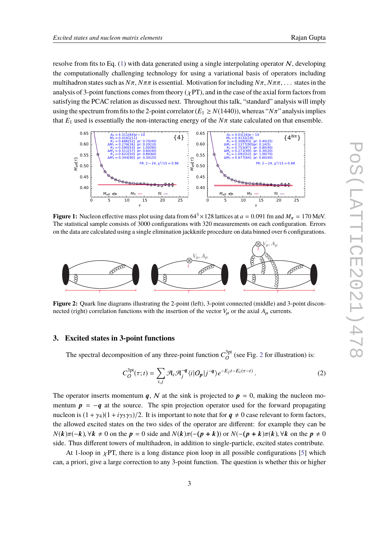resolve from fits to Eq. [\(1\)](#page-1-0) with data generated using a single interpolating operator  $N$ , developing the computationally challenging technology for using a variational basis of operators including multihadron states such as  $N\pi$ ,  $N\pi\pi$  is essential. Motivation for including  $N\pi$ ,  $N\pi\pi$ , ... states in the analysis of 3-point functions comes from theory ( $\chi PT$ ), and in the case of the axial form factors from satisfying the PCAC relation as discussed next. Throughout this talk, "standard" analysis will imply using the spectrum from fits to the 2-point correlator ( $E_1 \ge N(1440)$ ), whereas " $N\pi$ " analysis implies that  $E_1$  used is essentially the non-interacting energy of the  $N\pi$  state calculated on that ensemble.

<span id="page-2-0"></span>

**Figure 1:** Nucleon effective mass plot using data from  $64^3 \times 128$  lattices at  $a = 0.091$  fm and  $M_\pi = 170$  MeV. The statistical sample consists of 3000 configurations with 320 measurements on each configuration. Errors on the data are calculated using a single elimination jackknife procedure on data binned over 6 configurations.

<span id="page-2-1"></span>

**Figure 2:** Quark line diagrams illustrating the 2-point (left), 3-point connected (middle) and 3-point disconnected (right) correlation functions with the insertion of the vector  $V_\mu$  or the axial  $A_\mu$  currents.

# **3. Excited states in 3-point functions**

The spectral decomposition of any three-point function  $C_Q^{3pt}$  $o^{3pt}$  (see Fig. [2](#page-2-1) for illustration) is:

$$
C_O^{3pt}(\tau;t) = \sum_{i,j} \mathcal{A}_i \mathcal{A}_j^{-q} \langle i | O_p | j^{-q} \rangle e^{-E_j t - E_i(\tau - t)}.
$$
 (2)

The operator inserts momentum q, N at the sink is projected to  $p = 0$ , making the nucleon momentum  $p = -q$  at the source. The spin projection operator used for the forward propagating nucleon is  $(1 + \gamma_4)(1 + i\gamma_5\gamma_3)/2$ . It is important to note that for  $q \neq 0$  case relevant to form factors, the allowed excited states on the two sides of the operator are different: for example they can be  $N(k)\pi(-k)$ ,  $\forall k \neq 0$  on the  $p = 0$  side and  $N(k)\pi(-p + k)$  or  $N(-(p + k)\pi(k))$ ,  $\forall k$  on the  $p \neq 0$ side. Thus different towers of multihadron, in addition to single-particle, excited states contribute.

At 1-loop in  $\chi$ PT, there is a long distance pion loop in all possible configurations [\[5\]](#page-7-3) which can, a priori, give a large correction to any 3-point function. The question is whether this or higher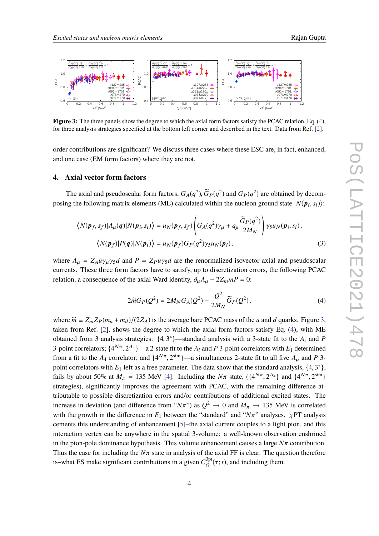<span id="page-3-1"></span>

**Figure 3:** The three panels show the degree to which the axial form factors satisfy the PCAC relation, Eq. [\(4\)](#page-3-0), for three analysis strategies specified at the bottom left corner and described in the text. Data from Ref. [\[2\]](#page-7-2).

order contributions are significant? We discuss three cases where these ESC are, in fact, enhanced, and one case (EM form factors) where they are not.

# **4. Axial vector form factors**

The axial and pseudoscalar form factors,  $G_A(q^2)$ ,  $\tilde{G}_P(q^2)$  and  $G_P(q^2)$  are obtained by decom-<br>as the following matrix algmanta (ME) solendated within the nuclear ground state  $|M(n, s)|$ . posing the following matrix elements (ME) calculated within the nucleon ground state  $|N(\mathbf{p}_i, s_i)\rangle$ :

$$
\langle N(\boldsymbol{p}_f, s_f) | A_{\mu}(\boldsymbol{q}) | N(\boldsymbol{p}_i, s_i) \rangle = \overline{u}_N(\boldsymbol{p}_f, s_f) \left( G_A(q^2) \gamma_{\mu} + q_{\mu} \frac{\widetilde{G}_P(q^2)}{2M_N} \right) \gamma_5 u_N(\boldsymbol{p}_i, s_i),
$$
  

$$
\langle N(\boldsymbol{p}_f) | P(\boldsymbol{q}) | N(\boldsymbol{p}_i) \rangle = \overline{u}_N(\boldsymbol{p}_f) G_P(q^2) \gamma_5 u_N(\boldsymbol{p}_i),
$$
 (3)

where  $A_\mu = Z_A \overline{u} \gamma_\mu \gamma_5 d$  and  $P = Z_P \overline{u} \gamma_5 d$  are the renormalized isovector axial and pseudoscalar currents. These three form factors have to satisfy, up to discretization errors, the following PCAC relation, a consequence of the axial Ward identity,  $\partial_{\mu}A_{\mu} - 2Z_m mP = 0$ :

<span id="page-3-0"></span>
$$
2\widehat{m}G_{P}(Q^{2}) = 2M_{N}G_{A}(Q^{2}) - \frac{Q^{2}}{2M_{N}}\widetilde{G}_{P}(Q^{2}),
$$
\n(4)

where  $\hat{m} \equiv Z_m Z_P(m_u + m_d)/(2Z_A)$  is the average bare PCAC mass of the *u* and *d* quarks. Figure [3,](#page-3-1) taken from Ref. [\[2\]](#page-7-2), shows the degree to which the axial form factors satisfy Eq. [\(4\)](#page-3-0), with ME obtained from 3 analysis strategies:  $\{4, 3^*\}$ —standard analysis with a 3-state fit to the *A<sub>i</sub>* and *P*<sup>2</sup> noint correlators with *E* determined 3-point correlators;  $\{4^{N\pi}, 2^{A_4}\}$ —a 2-state fit to the  $A_i$  and  $P$  3-point correlators with  $E_1$  determined<br>from a fit to the *A*<sub>i</sub> correlatory and  $\{4^{N\pi}, 2^{s}$ im<sub>1</sub>, a simultaneous 2 state fit to all fixe *A* from a fit to the *A*<sub>4</sub> correlator; and  $\{4^{N\pi}, 2^{\text{sim}}\}$ —a simultaneous 2-state fit to all five  $A_{\mu}$  and *P* 3-<br>noint correlators with *E* left as a free nonpresenta. The date show that the standard analysis,  $(4,$ point correlators with *E*<sub>1</sub> left as a free parameter. The data show that the standard analysis,  $\{4, 3^*\}$ ,  $\{5, 10\}$ ,  $\{1, 10\}$ ,  $\{2, 10\}$ ,  $\{1, 10\}$ ,  $\{1, 10\}$ ,  $\{1, 10\}$ ,  $\{1, 10\}$ ,  $\{1, 10\}$ ,  $\{1,$ fails by about 50% at  $M_{\pi} = 135$  MeV [\[4\]](#page-7-4). Including the  $N\pi$  state,  $({4^{N\pi}, 2^{A_4}})$  and  ${4^{N\pi}, 2^{\text{sim}}}$ } strategies), significantly improves the agreement with PCAC, with the remaining difference attributable to possible discretization errors and/or contributions of additional excited states. The increase in deviation (and difference from "*N* $\pi$ ") as  $Q^2 \to 0$  and  $M_{\pi} \to 135$  MeV is correlated<br>with the growth in the difference in *E*, between the "standard" and "*N*=" analyses,  $\mu$ PE analysis with the growth in the difference in  $E_1$  between the "standard" and " $N\pi$ " analyses.  $\chi$ PT analysis cements this understanding of enhancement [\[5\]](#page-7-3)–the axial current couples to a light pion, and this interaction vertex can be anywhere in the spatial 3-volume: a well-known observation enshrined in the pion-pole dominance hypothesis. This volume enhancement causes a large  $N\pi$  contribution. Thus the case for including the  $N\pi$  state in analysis of the axial FF is clear. The question therefore is–what ES make significant contributions in a given  $C_Q^{3pt}$  $O^{3pt}(\tau; t)$ , and including them.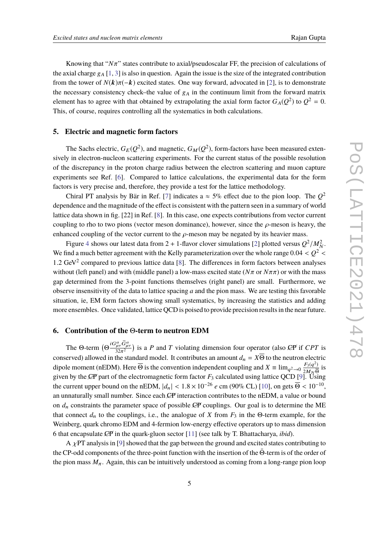Knowing that "*N*π" states contribute to axial/pseudoscalar FF, the precision of calculations of the axial charge  $g_A$  [\[1,](#page-7-0) [3\]](#page-7-1) is also in question. Again the issue is the size of the integrated contribution from the tower of  $N(k)\pi(-k)$  excited states. One way forward, advocated in [\[2\]](#page-7-2), is to demonstrate the necessary consistency check–the value of  $g_A$  in the continuum limit from the forward matrix element has to agree with that obtained by extrapolating the axial form factor  $G_A(Q^2)$  to  $Q^2 = 0$ . This, of course, requires controlling all the systematics in both calculations.

#### **5. Electric and magnetic form factors**

The Sachs electric,  $G_E(Q^2)$ , and magnetic,  $G_M(Q^2)$ , form-factors have been measured extensively in electron-nucleon scattering experiments. For the current status of the possible resolution of the discrepancy in the proton charge radius between the electron scattering and muon capture experiments see Ref. [\[6\]](#page-7-5). Compared to lattice calculations, the experimental data for the form factors is very precise and, therefore, they provide a test for the lattice methodology.

Chiral PT analysis by Bär in Ref. [\[7\]](#page-8-0) indicates a  $\approx$  5% effect due to the pion loop. The  $Q^2$ dependence and the magnitude of the effect is consistent with the pattern seen in a summary of world lattice data shown in fig. [22] in Ref. [\[8\]](#page-8-1). In this case, one expects contributions from vector current coupling to rho to two pions (vector meson dominance), however, since the  $\rho$ -meson is heavy, the enhanced coupling of the vector current to the  $\rho$ -meson may be negated by its heavier mass.

Figure [4](#page-5-0) shows our latest data from 2 + 1-flavor clover simulations [\[2\]](#page-7-2) plotted versus  $Q^2/M_N^2$ . We find a much better agreement with the Kelly parameterization over the whole range  $0.04 < Q^2$ <br>2.1.2 CeV<sub>4</sub><sup>2</sup> compared to require lettice data [8]. The differences in form factors hetypon analysis 1.2 GeV<sup>2</sup> compared to previous lattice data [\[8\]](#page-8-1). The differences in form factors between analyses without (left panel) and with (middle panel) a low-mass excited state (*N*π or *<sup>N</sup>*ππ) or with the mass gap determined from the 3-point functions themselves (right panel) are small. Furthermore, we observe insensitivity of the data to lattice spacing *a* and the pion mass. We are testing this favorable situation, ie, EM form factors showing small systematics, by increasing the statistics and adding more ensembles. Once validated, lattice QCD is poised to provide precision results in the near future.

# **6. Contribution of the** Θ**-term to neutron EDM**

The Θ-term  $(\Theta \frac{iG_{\mu\nu}^a \tilde{G}_{\mu\nu}^a}{32\pi^2})$  is a *P* and *T* violating dimension four operator (also *CP* if *CPT* is The  $\Theta$ -term  $(\Theta \frac{32\pi^2}{32\pi^2})$  is a *F* and *I* violating dimension four operator (also  $\angle$ F if C*F1* is<br>conserved) allowed in the standard model. It contributes an amount  $d_n = X\overline{\Theta}$  to the neutron electric dipole moment (nEDM). Here  $\overline{\Theta}$  is the convention independent coupling and  $X \equiv \lim_{q^2 \to 0} \frac{F_3(q^2)}{2M_N \overline{\Theta}}$  $2M_N$   $\overline{\Theta}$ is given by the CP part of the electromagnetic form factor  $F_3$  calculated using lattice QCD [\[9\]](#page-8-2). Using the current upper bound on the nEDM,  $|d_n| < 1.8 \times 10^{-26} e$  cm (90% CL) [\[10\]](#page-8-3), on gets  $\overline{\Theta} < 10^{-10}$ ,<br>on unpeturally small number. Since each CE interaction sontributes to the nEDM, a value on bound an unnaturally small number. Since each CP interaction contributes to the nEDM, a value or bound on  $d_n$  constraints the parameter space of possible  $\mathcal{L}P$  couplings. Our goal is to determine the ME that connect  $d_n$  to the couplings, i.e., the analogue of *X* from  $F_3$  in the Θ-term example, for the Weinberg, quark chromo EDM and 4-fermion low-energy effective operators up to mass dimension 6 that encapsulate ✟CP in the quark-gluon sector [ ✟ [11\]](#page-8-4) (see talk by T. Bhattacharya, *ibid*).

A  $\chi$ PT analysis in [\[9\]](#page-8-2) showed that the gap between the ground and excited states contributing to the CP-odd components of the three-point function with the insertion of the Θ-term is of the order of the pion mass  $M_{\pi}$ . Again, this can be intuitively understood as coming from a long-range pion loop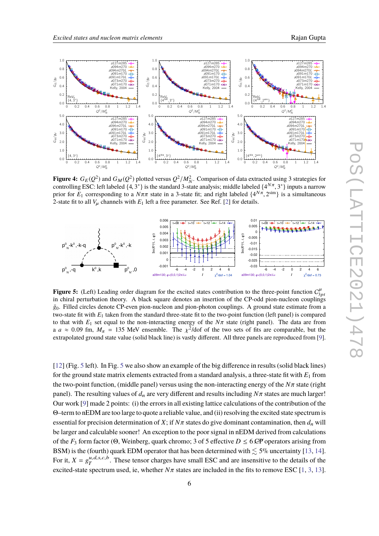<span id="page-5-0"></span>

**Figure 4:**  $G_E(Q^2)$  and  $G_M(Q^2)$  plotted versus  $Q^2/M_N^2$ . Comparison of data extracted using 3 strategies for controlling ESC: left labeled  $\{4, 3^*\}$  is the standard 3-state analysis; middle labeled  $\{4^{N\pi}, 3^*\}$  inputs a narrow<br>prior for E, corresponding to a  $N\pi\pi$  state in a 3-state fit; and right labeled  $JA^{N\pi}$ ,  $2^{\sinh$ prior for  $E_1$  corresponding to a  $N\pi\pi$  state in a 3-state fit; and right labeled  $\{4^{N\pi}, 2^{\text{sim}}\}$  is a simultaneous 2-state fit to all V, channels with  $F_1$  left a free parameter. See Ref. [2] for details 2-state fit to all  $V_u$  channels with  $E_1$  left a free parameter. See Ref. [\[2\]](#page-7-2) for details.

<span id="page-5-1"></span>

**Figure 5:** (Left) Leading order diagram for the excited states contribution to the three-point function  $C_{3pt}^{\mu}$ in chiral perturbation theory. A black square denotes an insertion of the CP-odd pion-nucleon couplings  $\bar{g}_0$ . Filled circles denote CP-even pion-nucleon and pion-photon couplings. A ground state estimate from a two-state fit with *E*<sup>1</sup> taken from the standard three-state fit to the two-point function (left panel) is compared to that with  $E_1$  set equal to the non-interacting energy of the  $N\pi$  state (right panel). The data are from a  $a \approx 0.09$  fm,  $M_{\pi} = 135$  MeV ensemble. The  $\chi^2/dof$  of the two sets of fits are comparable, but the extrapolated ground state value (solid black line) is vastly different. All three panels are reproduced from [9] extrapolated ground state value (solid black line) is vastly different. All three panels are reproduced from [\[9\]](#page-8-2).

[\[12\]](#page-8-5) (Fig. [5](#page-5-1) left). In Fig. [5](#page-5-1) we also show an example of the big difference in results (solid black lines) for the ground state matrix elements extracted from a standard analysis, a three-state fit with *E*<sup>1</sup> from the two-point function, (middle panel) versus using the non-interacting energy of the *<sup>N</sup>*π state (right panel). The resulting values of  $d_n$  are very different and results including  $N\pi$  states are much larger! Our work [\[9\]](#page-8-2) made 2 points: (i) the errors in all existing lattice calculations of the contribution of the Θ–term to nEDM are too large to quote a reliable value, and (ii) resolving the excited state spectrum is essential for precision determination of *X*; if  $N\pi$  states do give dominant contamination, then  $d_n$  will be larger and calculable sooner! An exception to the poor signal in nEDM derived from calculations of the  $F_3$  form factor (Θ, Weinberg, quark chromo; 3 of 5 effective  $D \leq 6$  *CP* operators arising from BSM) is the (fourth) quark EDM operator that has been determined with  $\leq 5\%$  uncertainty [\[13,](#page-8-6) [14\]](#page-8-7). For it,  $X = g_T^{u,d,s,c,b}$ . These tensor charges have small ESC and are insensitive to the details of the excited-state spectrum used, ie, whether  $N\pi$  states are included in the fits to remove ESC [\[1,](#page-7-0) [3,](#page-7-1) [13\]](#page-8-6).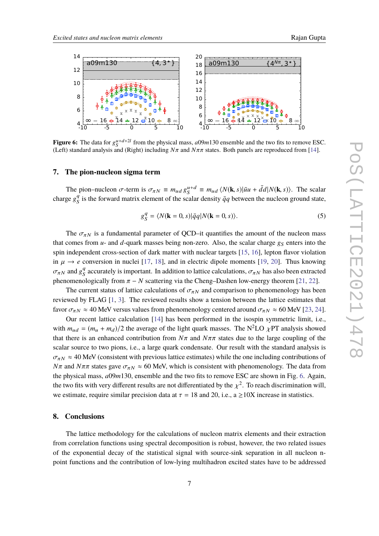<span id="page-6-0"></span>

**Figure 6:** The data for  $g_S^{u+d+2l}$  from the physical mass,  $a09m130$  ensemble and the two fits to remove ESC. (Left) standard analysis and (Right) including  $N\pi$  and  $N\pi\pi$  states. Both panels are reproduced from [\[14\]](#page-8-7).

#### **7. The pion-nucleon sigma term**

The pion–nucleon  $\sigma$ -term is  $\sigma_{\pi N} \equiv m_{ud} g_S^{u+d} \equiv m_{ud} \langle N(\mathbf{k}, s) | \bar{u}u + \bar{d}d | N(\mathbf{k}, s) \rangle$ . The scalar  $\sigma_{ud} g_s^d$  is the forward matrix algebra of the scalar density  $\bar{s}$  a hetween the nucleon ground state. charge  $g_S^q$  $\frac{q}{s}$  is the forward matrix element of the scalar density  $\bar{q}q$  between the nucleon ground state,

$$
g_S^q = \langle N(\mathbf{k} = 0, s) | \bar{q}q | N(\mathbf{k} = 0, s) \rangle.
$$
 (5)

The  $\sigma_{\pi N}$  is a fundamental parameter of QCD–it quantifies the amount of the nucleon mass that comes from  $u$ - and  $d$ -quark masses being non-zero. Also, the scalar charge  $g_S$  enters into the spin independent cross-section of dark matter with nuclear targets [\[15,](#page-8-8) [16\]](#page-8-9), lepton flavor violation in  $\mu \rightarrow e$  conversion in nuclei [\[17,](#page-8-10) [18\]](#page-8-11), and in electric dipole moments [\[19,](#page-8-12) [20\]](#page-8-13). Thus knowing  $\sigma_{\pi N}$  and  $g_S^q$ <sup>q</sup> accurately is important. In addition to lattice calculations,  $\sigma_{\pi N}$  has also been extracted<br>also isolly from  $\pi$ . N contrains via the Chang-Decken law energy theorem [21, 22] phenomenologically from  $\pi$  – *N* scattering via the Cheng–Dashen low-energy theorem [\[21,](#page-8-14) [22\]](#page-8-15).

The current status of lattice calculations of  $\sigma_{\pi N}$  and comparison to phenomenology has been reviewed by FLAG [\[1,](#page-7-0) [3\]](#page-7-1). The reviewed results show a tension between the lattice estimates that favor  $\sigma_{\pi N} \approx 40$  MeV versus values from phenomenology centered around  $\sigma_{\pi N} \approx 60$  MeV [\[23,](#page-8-16) [24\]](#page-8-17).

Our recent lattice calculation [\[14\]](#page-8-7) has been performed in the isospin symmetric limit, i.e., with  $m_{ud} = (m_u + m_d)/2$  the average of the light quark masses. The N<sup>2</sup>LO  $\chi$ PT analysis showed that there is an enhanced contribution from  $N\pi$  and  $N\pi\pi$  states due to the large coupling of the scalar source to two pions, i.e., a large quark condensate. Our result with the standard analysis is  $\sigma_{\pi N} \approx 40$  MeV (consistent with previous lattice estimates) while the one including contributions of *N*π and *N*ππ states gave  $\sigma_{\pi N} \approx 60$  MeV, which is consistent with phenomenology. The data from the physical mass, *a*09*m*130, ensemble and the two fits to remove ESC are shown in Fig. [6.](#page-6-0) Again, the two fits with very different results are not differentiated by the  $\chi^2$ . To reach discrimination will, we estimate, require similar precision data at  $\tau = 18$  and 20, i.e., a  $\geq 10X$  increase in statistics.

### **8. Conclusions**

The lattice methodology for the calculations of nucleon matrix elements and their extraction from correlation functions using spectral decomposition is robust, however, the two related issues of the exponential decay of the statistical signal with source-sink separation in all nucleon npoint functions and the contribution of low-lying multihadron excited states have to be addressed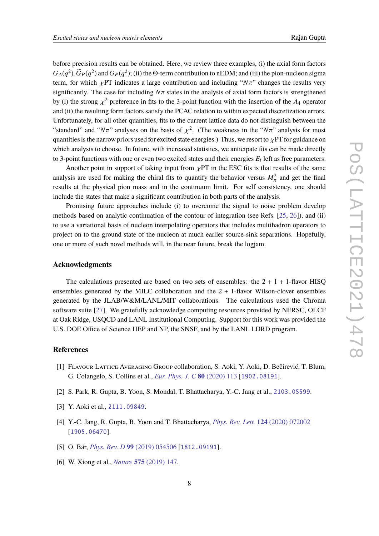before precision results can be obtained. Here, we review three examples, (i) the axial form factors  $G_A(q^2)$ ,  $\tilde{G}_P(q^2)$  and  $G_P(q^2)$ ; (ii) the Θ-term contribution to nEDM; and (iii) the pion-nucleon sigma<br>term, for which  $\sim$  PT indicates a large contribution and including "*N<sub>T</sub>*" abanges the results vary term, for which  $\chi$ PT indicates a large contribution and including " $N\pi$ " changes the results very significantly. The case for including  $N\pi$  states in the analysis of axial form factors is strengthened by (i) the strong  $\chi^2$  preference in fits to the 3-point function with the insertion of the *A*<sub>4</sub> operator and (ii) the resulting form feature estisfy the PGAC relation to within expected discretization express and (ii) the resulting form factors satisfy the PCAC relation to within expected discretization errors. Unfortunately, for all other quantities, fits to the current lattice data do not distinguish between the "standard" and "*N* $\pi$ " analyses on the basis of  $\chi^2$ . (The weakness in the "*N* $\pi$ " analysis for most<br>guarantities is the permanental space of formation data anomatical. Thus, we meant to a PT for guidance on quantities is the narrow priors used for excited state energies.) Thus, we resort to  $\chi$ PT for guidance on which analysis to choose. In future, with increased statistics, we anticipate fits can be made directly to 3-point functions with one or even two excited states and their energies  $E_i$  left as free parameters.

Another point in support of taking input from  $\chi PT$  in the ESC fits is that results of the same analysis are used for making the chiral fits to quantify the behavior versus  $M_\pi^2$  and get the final π results at the physical pion mass and in the continuum limit. For self consistency, one should include the states that make a significant contribution in both parts of the analysis.

Promising future approaches include (i) to overcome the signal to noise problem develop methods based on analytic continuation of the contour of integration (see Refs. [\[25,](#page-8-18) [26\]](#page-8-19)), and (ii) to use a variational basis of nucleon interpolating operators that includes multihadron operators to project on to the ground state of the nucleon at much earlier source-sink separations. Hopefully, one or more of such novel methods will, in the near future, break the logjam.

# **Acknowledgments**

The calculations presented are based on two sets of ensembles: the  $2 + 1 + 1$ -flavor HISQ ensembles generated by the MILC collaboration and the  $2 + 1$ -flavor Wilson-clover ensembles generated by the JLAB/W&M/LANL/MIT collaborations. The calculations used the Chroma software suite [\[27\]](#page-8-20). We gratefully acknowledge computing resources provided by NERSC, OLCF at Oak Ridge, USQCD and LANL Institutional Computing. Support for this work was provided the U.S. DOE Office of Science HEP and NP, the SNSF, and by the LANL LDRD program.

# **References**

- <span id="page-7-0"></span>[1] Flavour Lattice Averaging Group collaboration, S. Aoki, Y. Aoki, D. Bečirević, T. Blum, G. Colangelo, S. Collins et al., *[Eur. Phys. J. C](https://doi.org/10.1140/epjc/s10052-019-7354-7)* **80** (2020) 113 [[1902.08191](https://arxiv.org/abs/1902.08191)].
- <span id="page-7-2"></span>[2] S. Park, R. Gupta, B. Yoon, S. Mondal, T. Bhattacharya, Y.-C. Jang et al., [2103.05599](https://arxiv.org/abs/2103.05599).
- <span id="page-7-1"></span>[3] Y. Aoki et al., [2111.09849](https://arxiv.org/abs/2111.09849).
- <span id="page-7-4"></span>[4] Y.-C. Jang, R. Gupta, B. Yoon and T. Bhattacharya, *[Phys. Rev. Lett.](https://doi.org/10.1103/PhysRevLett.124.072002)* **124** (2020) 072002 [[1905.06470](https://arxiv.org/abs/1905.06470)].
- <span id="page-7-3"></span>[5] O. Bär, *[Phys. Rev. D](https://doi.org/10.1103/PhysRevD.99.054506)* **99** (2019) 054506 [[1812.09191](https://arxiv.org/abs/1812.09191)].
- <span id="page-7-5"></span>[6] W. Xiong et al., *Nature* **575** [\(2019\) 147.](https://doi.org/10.1038/s41586-019-1721-2)